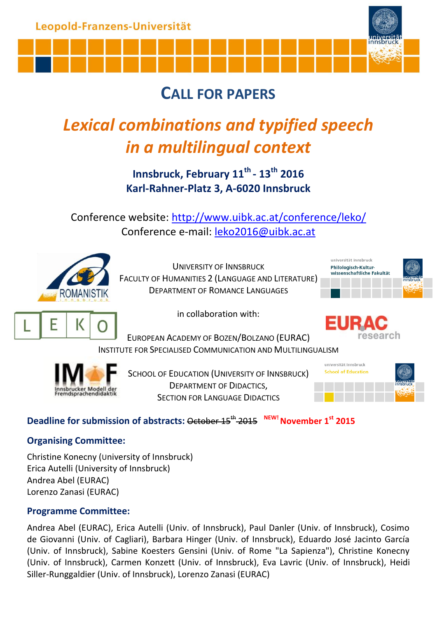

# **CALL FOR PAPERS**

# *Lexical combinations and typified speech in a multilingual context*

**Innsbruck, February 11th - 13th 2016 Karl-Rahner-Platz 3, A-6020 Innsbruck**

Conference website: [http://www.uibk.ac.at/conference/leko/](http://www.uibk.ac.at/congress/leko/) Conference e-mail: [leko2016@uibk.ac.at](mailto:leko2016@uibk.ac.at)



UNIVERSITY OF INNSBRUCK FACULTY OF HUMANITIES 2 (L[ANGUAGE AND](http://phil-kult.univie.ac.at/en/) LITERATURE) DEPARTMENT OF ROMANCE LANGUAGES





in collaboration with:

EUROPEAN ACADEMY OF BOZEN/BOLZANO (EURAC) INSTITUTE FOR SPECIALISED COMMUNICATION AND MULTILINGUALISM



SCHOOL OF EDUCATION (UNIVERSITY OF INNSBRUCK) DEPARTMENT OF DIDACTICS, SECTION FOR LANGUAGE DIDACTICS



## **Deadline for submission of abstracts:** October 15th 2015 **NEW!November 1 st 2015**

#### **Organising Committee:**

Christine Konecny (University of Innsbruck) Erica Autelli (University of Innsbruck) Andrea Abel (EURAC) Lorenzo Zanasi (EURAC)

### **Programme Committee:**

Andrea Abel (EURAC), Erica Autelli (Univ. of Innsbruck), Paul Danler (Univ. of Innsbruck), Cosimo de Giovanni (Univ. of Cagliari), Barbara Hinger (Univ. of Innsbruck), Eduardo José Jacinto García (Univ. of Innsbruck), Sabine Koesters Gensini (Univ. of Rome "La Sapienza"), Christine Konecny (Univ. of Innsbruck), Carmen Konzett (Univ. of Innsbruck), Eva Lavric (Univ. of Innsbruck), Heidi Siller-Runggaldier (Univ. of Innsbruck), Lorenzo Zanasi (EURAC)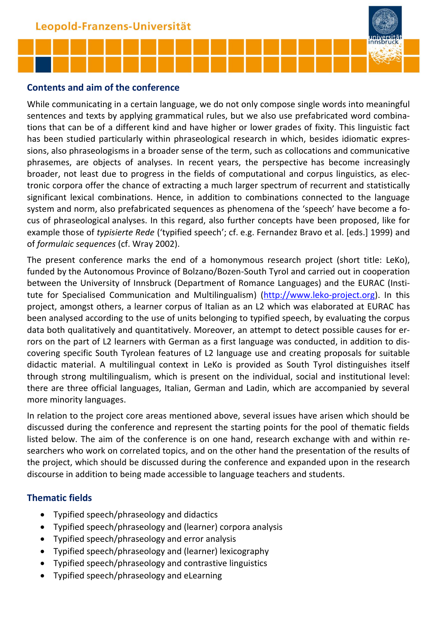

#### **Contents and aim of the conference**

While communicating in a certain language, we do not only compose single words into meaningful sentences and texts by applying grammatical rules, but we also use prefabricated word combinations that can be of a different kind and have higher or lower grades of fixity. This linguistic fact has been studied particularly within phraseological research in which, besides idiomatic expressions, also phraseologisms in a broader sense of the term, such as collocations and communicative phrasemes, are objects of analyses. In recent years, the perspective has become increasingly broader, not least due to progress in the fields of computational and corpus linguistics, as electronic corpora offer the chance of extracting a much larger spectrum of recurrent and statistically significant lexical combinations. Hence, in addition to combinations connected to the language system and norm, also prefabricated sequences as phenomena of the 'speech' have become a focus of phraseological analyses. In this regard, also further concepts have been proposed, like for example those of *typisierte Rede* ('typified speech'; cf. e.g. Fernandez Bravo et al. [eds.] 1999) and of *formulaic sequences* (cf. Wray 2002).

The present conference marks the end of a homonymous research project (short title: LeKo), funded by the Autonomous Province of Bolzano/Bozen-South Tyrol and carried out in cooperation between the University of Innsbruck (Department of Romance Languages) and the EURAC (Institute for Specialised Communication and Multilingualism) [\(http://www.leko-project.org\)](http://www.leko-project.org/). In this project, amongst others, a learner corpus of Italian as an L2 which was elaborated at EURAC has been analysed according to the use of units belonging to typified speech, by evaluating the corpus data both qualitatively and quantitatively. Moreover, an attempt to detect possible causes for errors on the part of L2 learners with German as a first language was conducted, in addition to discovering specific South Tyrolean features of L2 language use and creating proposals for suitable didactic material. A multilingual context in LeKo is provided as South Tyrol distinguishes itself through strong multilingualism, which is present on the individual, social and institutional level: there are three official languages, Italian, German and Ladin, which are accompanied by several more minority languages.

In relation to the project core areas mentioned above, several issues have arisen which should be discussed during the conference and represent the starting points for the pool of thematic fields listed below. The aim of the conference is on one hand, research exchange with and within researchers who work on correlated topics, and on the other hand the presentation of the results of the project, which should be discussed during the conference and expanded upon in the research discourse in addition to being made accessible to language teachers and students.

#### **Thematic fields**

- Typified speech/phraseology and didactics
- Typified speech/phraseology and (learner) corpora analysis
- Typified speech/phraseology and error analysis
- Typified speech/phraseology and (learner) lexicography
- Typified speech/phraseology and contrastive linguistics
- Typified speech/phraseology and eLearning